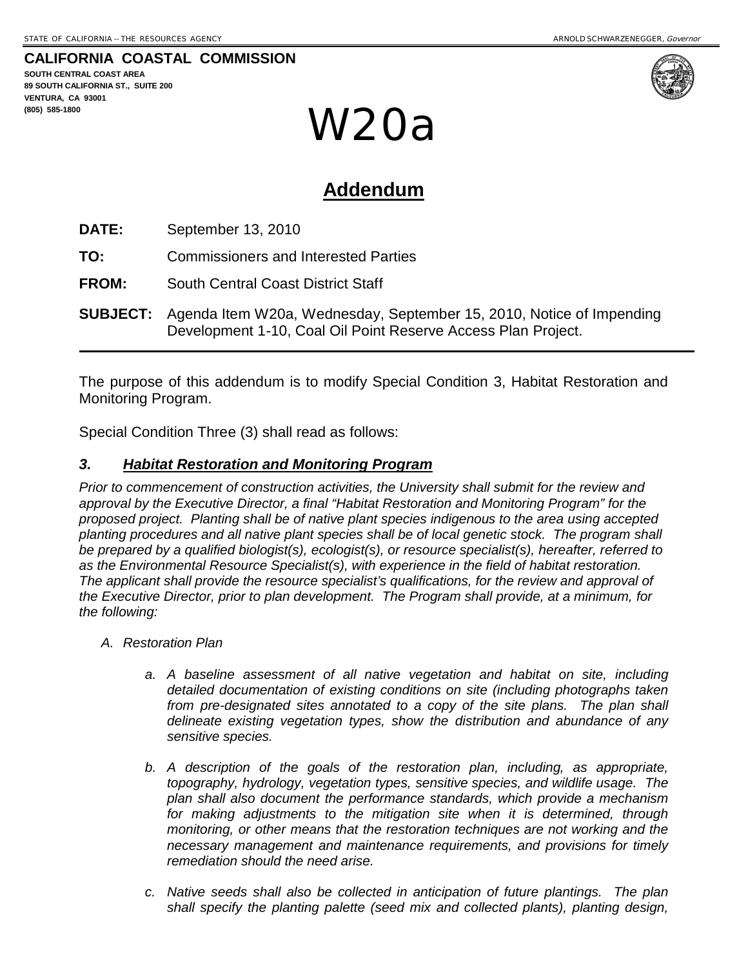**CALIFORNIA COASTAL COMMISSION**

**SOUTH CENTRAL COAST AREA 89 SOUTH CALIFORNIA ST., SUITE 200 VENTURA, CA 93001 (805) 585-1800**



**ADDENDUM** W20a

# **Addendum**

**DATE:** September 13, 2010

**TO:** Commissioners and Interested Parties

**FROM:** South Central Coast District Staff

**SUBJECT:** Agenda Item W20a, Wednesday, September 15, 2010, Notice of Impending Development 1-10, Coal Oil Point Reserve Access Plan Project.

The purpose of this addendum is to modify Special Condition 3, Habitat Restoration and Monitoring Program.

Special Condition Three (3) shall read as follows:

#### *3. Habitat Restoration and Monitoring Program*

*Prior to commencement of construction activities, the University shall submit for the review and approval by the Executive Director, a final "Habitat Restoration and Monitoring Program" for the proposed project. Planting shall be of native plant species indigenous to the area using accepted planting procedures and all native plant species shall be of local genetic stock. The program shall be prepared by a qualified biologist(s), ecologist(s), or resource specialist(s), hereafter, referred to as the Environmental Resource Specialist(s), with experience in the field of habitat restoration. The applicant shall provide the resource specialist's qualifications, for the review and approval of the Executive Director, prior to plan development. The Program shall provide, at a minimum, for the following:*

- *A. Restoration Plan*
	- *a. A baseline assessment of all native vegetation and habitat on site, including detailed documentation of existing conditions on site (including photographs taken*  from pre-designated sites annotated to a copy of the site plans. The plan shall *delineate existing vegetation types, show the distribution and abundance of any sensitive species.*
	- *b. A description of the goals of the restoration plan, including, as appropriate, topography, hydrology, vegetation types, sensitive species, and wildlife usage. The plan shall also document the performance standards, which provide a mechanism*  for making adjustments to the mitigation site when it is determined, through *monitoring, or other means that the restoration techniques are not working and the necessary management and maintenance requirements, and provisions for timely remediation should the need arise.*
	- *c. Native seeds shall also be collected in anticipation of future plantings. The plan shall specify the planting palette (seed mix and collected plants), planting design,*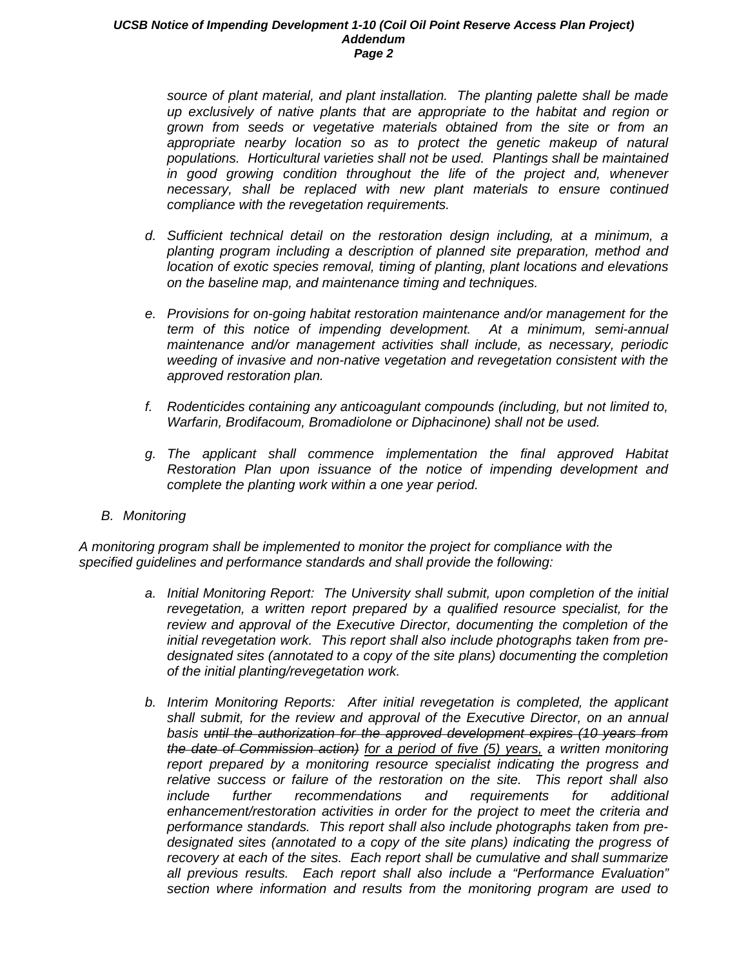#### *UCSB Notice of Impending Development 1-10 (Coil Oil Point Reserve Access Plan Project) Addendum Page 2*

*source of plant material, and plant installation. The planting palette shall be made up exclusively of native plants that are appropriate to the habitat and region or grown from seeds or vegetative materials obtained from the site or from an*  appropriate nearby location so as to protect the genetic makeup of natural *populations. Horticultural varieties shall not be used. Plantings shall be maintained in good growing condition throughout the life of the project and, whenever necessary, shall be replaced with new plant materials to ensure continued compliance with the revegetation requirements.*

- *d. Sufficient technical detail on the restoration design including, at a minimum, a planting program including a description of planned site preparation, method and location of exotic species removal, timing of planting, plant locations and elevations on the baseline map, and maintenance timing and techniques.*
- *e. Provisions for on-going habitat restoration maintenance and/or management for the term of this notice of impending development. At a minimum, semi-annual maintenance and/or management activities shall include, as necessary, periodic weeding of invasive and non-native vegetation and revegetation consistent with the approved restoration plan.*
- *f. Rodenticides containing any anticoagulant compounds (including, but not limited to, Warfarin, Brodifacoum, Bromadiolone or Diphacinone) shall not be used.*
- *g. The applicant shall commence implementation the final approved Habitat Restoration Plan upon issuance of the notice of impending development and complete the planting work within a one year period.*
- *B. Monitoring*

*A monitoring program shall be implemented to monitor the project for compliance with the specified guidelines and performance standards and shall provide the following:*

- *a. Initial Monitoring Report: The University shall submit, upon completion of the initial revegetation, a written report prepared by a qualified resource specialist, for the review and approval of the Executive Director, documenting the completion of the initial revegetation work. This report shall also include photographs taken from predesignated sites (annotated to a copy of the site plans) documenting the completion of the initial planting/revegetation work.*
- *b. Interim Monitoring Reports: After initial revegetation is completed, the applicant shall submit, for the review and approval of the Executive Director, on an annual basis until the authorization for the approved development expires (10 years from the date of Commission action) for a period of five (5) years, a written monitoring report prepared by a monitoring resource specialist indicating the progress and relative success or failure of the restoration on the site. This report shall also include further recommendations and requirements for additional enhancement/restoration activities in order for the project to meet the criteria and performance standards. This report shall also include photographs taken from predesignated sites (annotated to a copy of the site plans) indicating the progress of recovery at each of the sites. Each report shall be cumulative and shall summarize all previous results. Each report shall also include a "Performance Evaluation" section where information and results from the monitoring program are used to*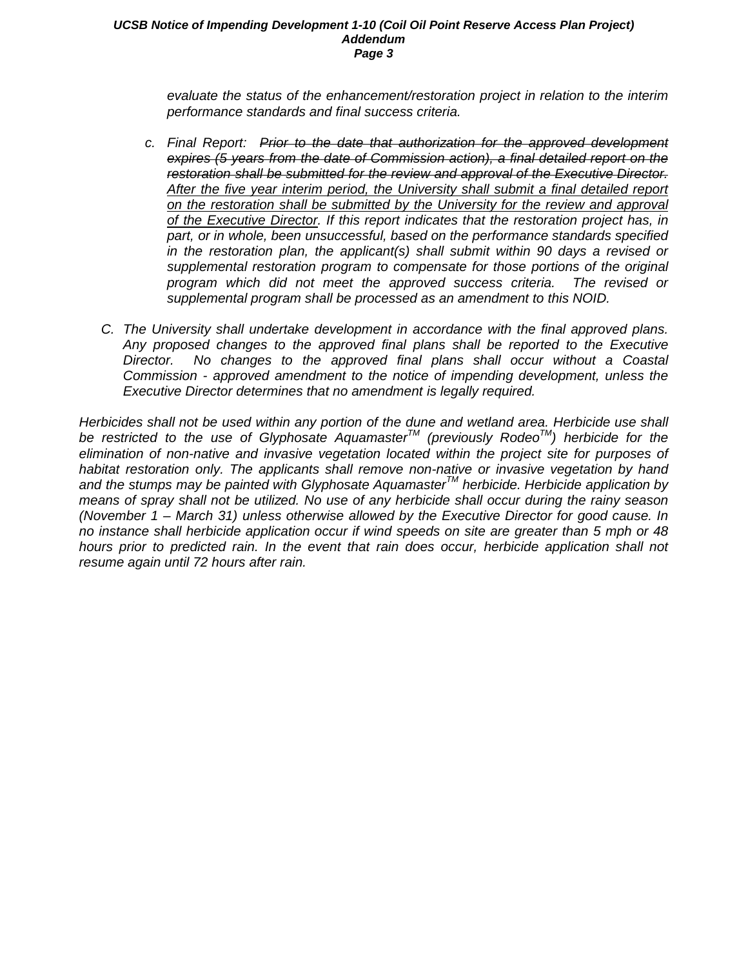#### *UCSB Notice of Impending Development 1-10 (Coil Oil Point Reserve Access Plan Project) Addendum Page 3*

*evaluate the status of the enhancement/restoration project in relation to the interim performance standards and final success criteria.*

- *c. Final Report: Prior to the date that authorization for the approved development expires (5 years from the date of Commission action), a final detailed report on the restoration shall be submitted for the review and approval of the Executive Director. After the five year interim period, the University shall submit a final detailed report on the restoration shall be submitted by the University for the review and approval of the Executive Director. If this report indicates that the restoration project has, in part, or in whole, been unsuccessful, based on the performance standards specified in the restoration plan, the applicant(s) shall submit within 90 days a revised or supplemental restoration program to compensate for those portions of the original program which did not meet the approved success criteria. The revised or supplemental program shall be processed as an amendment to this NOID.*
- *C. The University shall undertake development in accordance with the final approved plans. Any proposed changes to the approved final plans shall be reported to the Executive Director. No changes to the approved final plans shall occur without a Coastal Commission - approved amendment to the notice of impending development, unless the Executive Director determines that no amendment is legally required.*

*Herbicides shall not be used within any portion of the dune and wetland area. Herbicide use shall be restricted to the use of Glyphosate AquamasterTM (previously RodeoTM) herbicide for the elimination of non-native and invasive vegetation located within the project site for purposes of habitat restoration only. The applicants shall remove non-native or invasive vegetation by hand and the stumps may be painted with Glyphosate AquamasterTM herbicide. Herbicide application by means of spray shall not be utilized. No use of any herbicide shall occur during the rainy season (November 1 – March 31) unless otherwise allowed by the Executive Director for good cause. In no instance shall herbicide application occur if wind speeds on site are greater than 5 mph or 48 hours prior to predicted rain. In the event that rain does occur, herbicide application shall not resume again until 72 hours after rain.*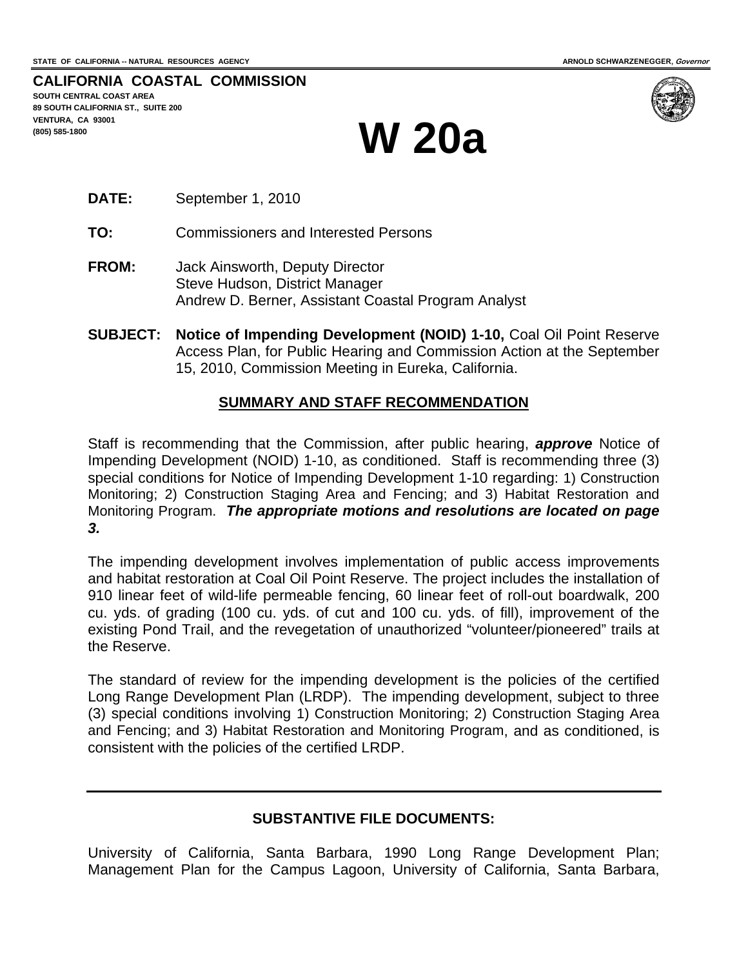**CALIFORNIA COASTAL COMMISSION SOUTH CENTRAL COAST AREA 89 SOUTH CALIFORNIA ST., SUITE 200 VENTURA, CA 93001**  (805) 585-1800 **W 20a** 



- **DATE:** September 1, 2010
- **TO:** Commissioners and Interested Persons
- **FROM:** Jack Ainsworth, Deputy Director Steve Hudson, District Manager Andrew D. Berner, Assistant Coastal Program Analyst
- **SUBJECT: Notice of Impending Development (NOID) 1-10,** Coal Oil Point Reserve Access Plan, for Public Hearing and Commission Action at the September 15, 2010, Commission Meeting in Eureka, California.

#### **SUMMARY AND STAFF RECOMMENDATION**

Staff is recommending that the Commission, after public hearing, *approve* Notice of Impending Development (NOID) 1-10, as conditioned. Staff is recommending three (3) special conditions for Notice of Impending Development 1-10 regarding: 1) Construction Monitoring; 2) Construction Staging Area and Fencing; and 3) Habitat Restoration and Monitoring Program. *The appropriate motions and resolutions are located on page 3.* 

The impending development involves implementation of public access improvements and habitat restoration at Coal Oil Point Reserve. The project includes the installation of 910 linear feet of wild-life permeable fencing, 60 linear feet of roll-out boardwalk, 200 cu. yds. of grading (100 cu. yds. of cut and 100 cu. yds. of fill), improvement of the existing Pond Trail, and the revegetation of unauthorized "volunteer/pioneered" trails at the Reserve.

The standard of review for the impending development is the policies of the certified Long Range Development Plan (LRDP). The impending development, subject to three (3) special conditions involving 1) Construction Monitoring; 2) Construction Staging Area and Fencing; and 3) Habitat Restoration and Monitoring Program, and as conditioned, is consistent with the policies of the certified LRDP.

#### **SUBSTANTIVE FILE DOCUMENTS:**

University of California, Santa Barbara, 1990 Long Range Development Plan; Management Plan for the Campus Lagoon, University of California, Santa Barbara,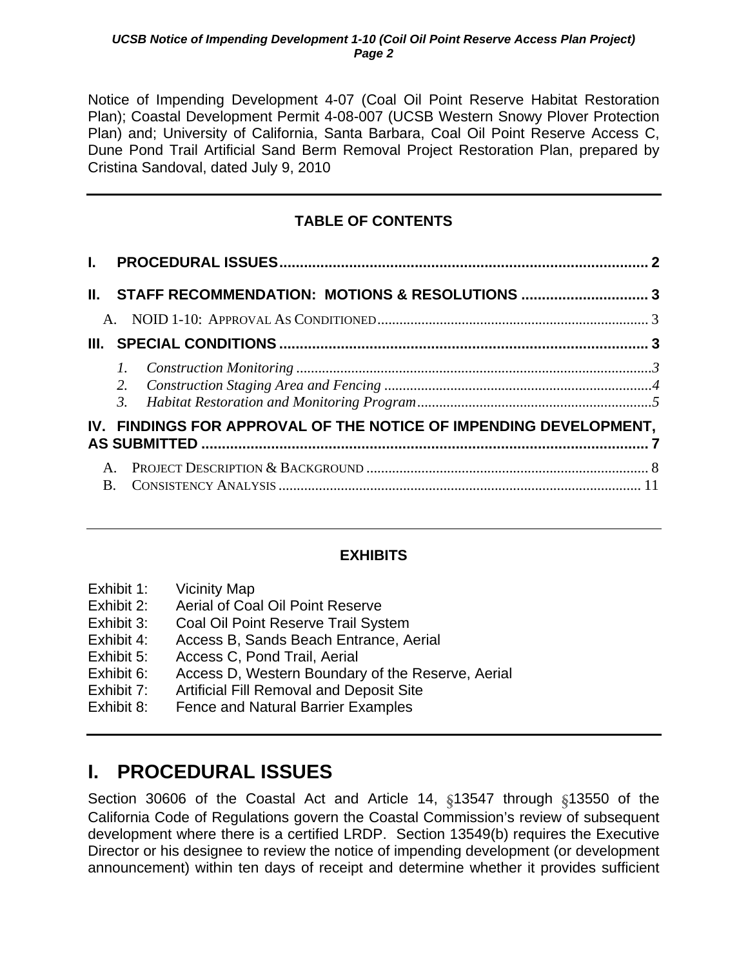<span id="page-4-0"></span>Notice of Impending Development 4-07 (Coal Oil Point Reserve Habitat Restoration Plan); Coastal Development Permit 4-08-007 (UCSB Western Snowy Plover Protection Plan) and; University of California, Santa Barbara, Coal Oil Point Reserve Access C, Dune Pond Trail Artificial Sand Berm Removal Project Restoration Plan, prepared by Cristina Sandoval, dated July 9, 2010

## **TABLE OF CONTENTS**

|              | II. STAFF RECOMMENDATION: MOTIONS & RESOLUTIONS  3                |  |
|--------------|-------------------------------------------------------------------|--|
|              |                                                                   |  |
|              |                                                                   |  |
|              |                                                                   |  |
|              | IV. FINDINGS FOR APPROVAL OF THE NOTICE OF IMPENDING DEVELOPMENT, |  |
| $\mathbf{B}$ |                                                                   |  |

### **EXHIBITS**

| Exhibit 1: | <b>Vicinity Map</b>                               |
|------------|---------------------------------------------------|
| Exhibit 2: | Aerial of Coal Oil Point Reserve                  |
| Exhibit 3: | Coal Oil Point Reserve Trail System               |
| Exhibit 4: | Access B, Sands Beach Entrance, Aerial            |
| Exhibit 5: | Access C, Pond Trail, Aerial                      |
| Exhibit 6: | Access D, Western Boundary of the Reserve, Aerial |
| Exhibit 7: | <b>Artificial Fill Removal and Deposit Site</b>   |
| Exhibit 8: | Fence and Natural Barrier Examples                |
|            |                                                   |

# **I. PROCEDURAL ISSUES**

Section 30606 of the Coastal Act and Article 14, §13547 through §13550 of the California Code of Regulations govern the Coastal Commission's review of subsequent development where there is a certified LRDP. Section 13549(b) requires the Executive Director or his designee to review the notice of impending development (or development announcement) within ten days of receipt and determine whether it provides sufficient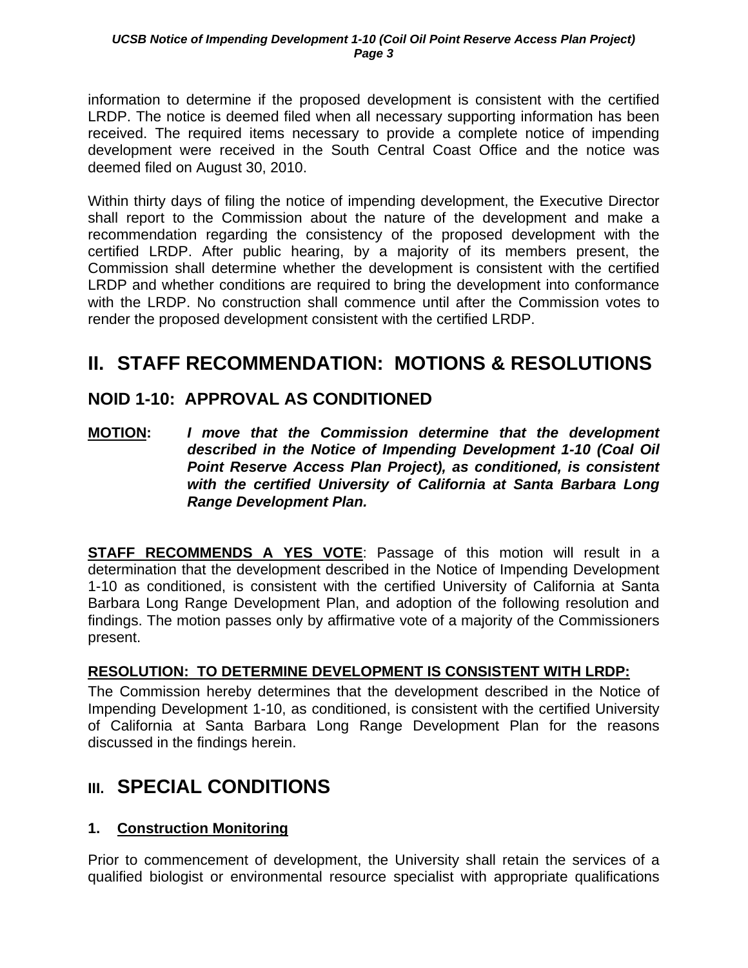<span id="page-5-0"></span>information to determine if the proposed development is consistent with the certified LRDP. The notice is deemed filed when all necessary supporting information has been received. The required items necessary to provide a complete notice of impending development were received in the South Central Coast Office and the notice was deemed filed on August 30, 2010.

Within thirty days of filing the notice of impending development, the Executive Director shall report to the Commission about the nature of the development and make a recommendation regarding the consistency of the proposed development with the certified LRDP. After public hearing, by a majority of its members present, the Commission shall determine whether the development is consistent with the certified LRDP and whether conditions are required to bring the development into conformance with the LRDP. No construction shall commence until after the Commission votes to render the proposed development consistent with the certified LRDP.

# **II. STAFF RECOMMENDATION: MOTIONS & RESOLUTIONS**

## **NOID 1-10: APPROVAL AS CONDITIONED**

**MOTION:** *I move that the Commission determine that the development described in the Notice of Impending Development 1-10 (Coal Oil Point Reserve Access Plan Project), as conditioned, is consistent with the certified University of California at Santa Barbara Long Range Development Plan.* 

**STAFF RECOMMENDS A YES VOTE**: Passage of this motion will result in a determination that the development described in the Notice of Impending Development 1-10 as conditioned, is consistent with the certified University of California at Santa Barbara Long Range Development Plan, and adoption of the following resolution and findings. The motion passes only by affirmative vote of a majority of the Commissioners present.

### **RESOLUTION: TO DETERMINE DEVELOPMENT IS CONSISTENT WITH LRDP:**

The Commission hereby determines that the development described in the Notice of Impending Development 1-10, as conditioned, is consistent with the certified University of California at Santa Barbara Long Range Development Plan for the reasons discussed in the findings herein.

# **III. SPECIAL CONDITIONS**

### **1. Construction Monitoring**

Prior to commencement of development, the University shall retain the services of a qualified biologist or environmental resource specialist with appropriate qualifications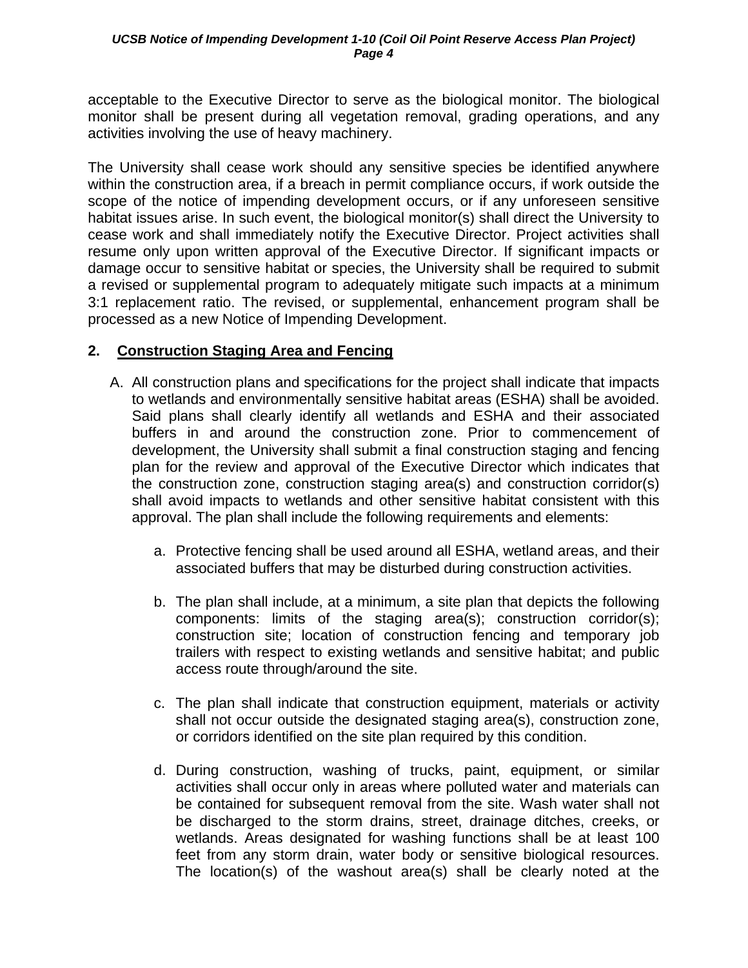<span id="page-6-0"></span>acceptable to the Executive Director to serve as the biological monitor. The biological monitor shall be present during all vegetation removal, grading operations, and any activities involving the use of heavy machinery.

The University shall cease work should any sensitive species be identified anywhere within the construction area, if a breach in permit compliance occurs, if work outside the scope of the notice of impending development occurs, or if any unforeseen sensitive habitat issues arise. In such event, the biological monitor(s) shall direct the University to cease work and shall immediately notify the Executive Director. Project activities shall resume only upon written approval of the Executive Director. If significant impacts or damage occur to sensitive habitat or species, the University shall be required to submit a revised or supplemental program to adequately mitigate such impacts at a minimum 3:1 replacement ratio. The revised, or supplemental, enhancement program shall be processed as a new Notice of Impending Development.

#### **2. Construction Staging Area and Fencing**

- A. All construction plans and specifications for the project shall indicate that impacts to wetlands and environmentally sensitive habitat areas (ESHA) shall be avoided. Said plans shall clearly identify all wetlands and ESHA and their associated buffers in and around the construction zone. Prior to commencement of development, the University shall submit a final construction staging and fencing plan for the review and approval of the Executive Director which indicates that the construction zone, construction staging area(s) and construction corridor(s) shall avoid impacts to wetlands and other sensitive habitat consistent with this approval. The plan shall include the following requirements and elements:
	- a. Protective fencing shall be used around all ESHA, wetland areas, and their associated buffers that may be disturbed during construction activities.
	- b. The plan shall include, at a minimum, a site plan that depicts the following components: limits of the staging area(s); construction corridor(s); construction site; location of construction fencing and temporary job trailers with respect to existing wetlands and sensitive habitat; and public access route through/around the site.
	- c. The plan shall indicate that construction equipment, materials or activity shall not occur outside the designated staging area(s), construction zone, or corridors identified on the site plan required by this condition.
	- d. During construction, washing of trucks, paint, equipment, or similar activities shall occur only in areas where polluted water and materials can be contained for subsequent removal from the site. Wash water shall not be discharged to the storm drains, street, drainage ditches, creeks, or wetlands. Areas designated for washing functions shall be at least 100 feet from any storm drain, water body or sensitive biological resources. The location(s) of the washout area(s) shall be clearly noted at the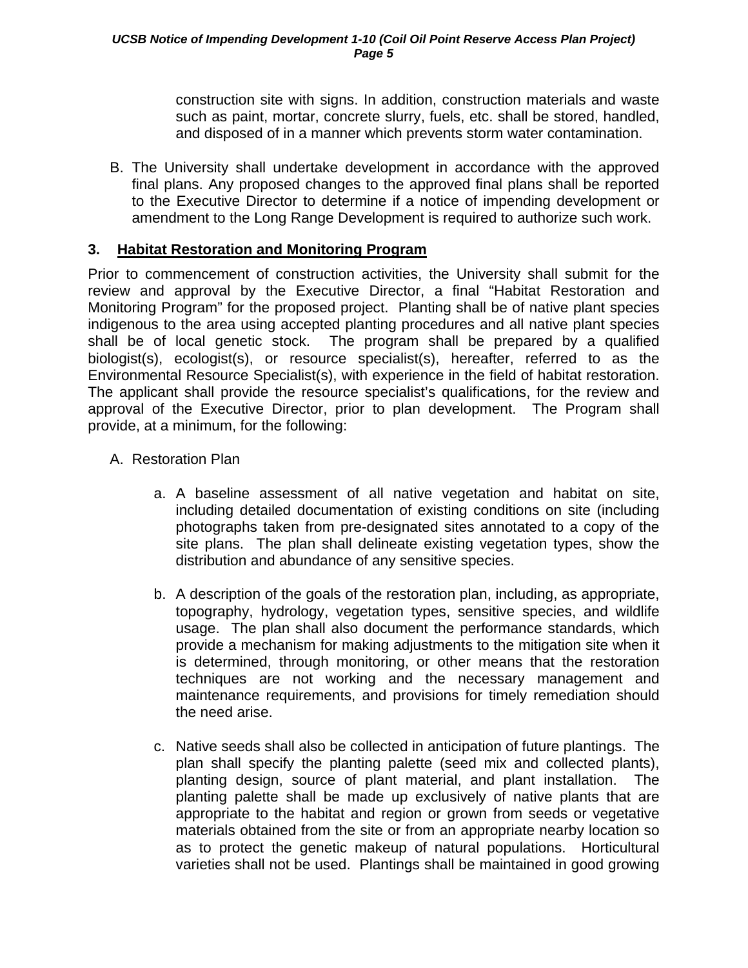construction site with signs. In addition, construction materials and waste such as paint, mortar, concrete slurry, fuels, etc. shall be stored, handled, and disposed of in a manner which prevents storm water contamination.

<span id="page-7-0"></span>B. The University shall undertake development in accordance with the approved final plans. Any proposed changes to the approved final plans shall be reported to the Executive Director to determine if a notice of impending development or amendment to the Long Range Development is required to authorize such work.

#### **3. Habitat Restoration and Monitoring Program**

Prior to commencement of construction activities, the University shall submit for the review and approval by the Executive Director, a final "Habitat Restoration and Monitoring Program" for the proposed project. Planting shall be of native plant species indigenous to the area using accepted planting procedures and all native plant species shall be of local genetic stock. The program shall be prepared by a qualified biologist(s), ecologist(s), or resource specialist(s), hereafter, referred to as the Environmental Resource Specialist(s), with experience in the field of habitat restoration. The applicant shall provide the resource specialist's qualifications, for the review and approval of the Executive Director, prior to plan development. The Program shall provide, at a minimum, for the following:

- A. Restoration Plan
	- a. A baseline assessment of all native vegetation and habitat on site, including detailed documentation of existing conditions on site (including photographs taken from pre-designated sites annotated to a copy of the site plans. The plan shall delineate existing vegetation types, show the distribution and abundance of any sensitive species.
	- b. A description of the goals of the restoration plan, including, as appropriate, topography, hydrology, vegetation types, sensitive species, and wildlife usage. The plan shall also document the performance standards, which provide a mechanism for making adjustments to the mitigation site when it is determined, through monitoring, or other means that the restoration techniques are not working and the necessary management and maintenance requirements, and provisions for timely remediation should the need arise.
	- c. Native seeds shall also be collected in anticipation of future plantings. The plan shall specify the planting palette (seed mix and collected plants), planting design, source of plant material, and plant installation. The planting palette shall be made up exclusively of native plants that are appropriate to the habitat and region or grown from seeds or vegetative materials obtained from the site or from an appropriate nearby location so as to protect the genetic makeup of natural populations. Horticultural varieties shall not be used. Plantings shall be maintained in good growing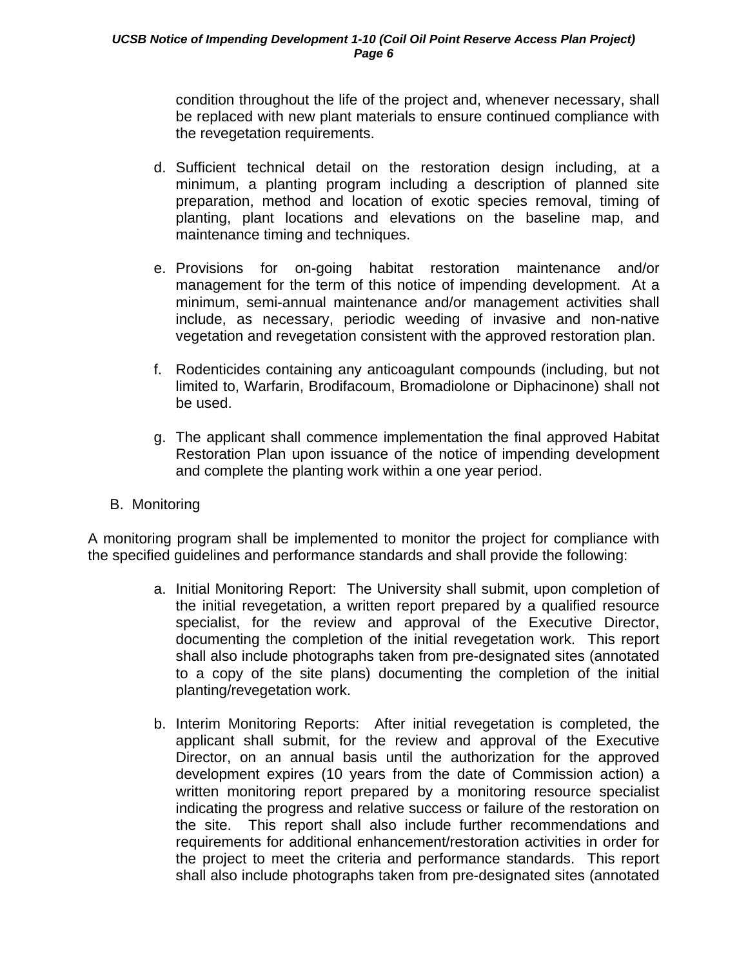condition throughout the life of the project and, whenever necessary, shall be replaced with new plant materials to ensure continued compliance with the revegetation requirements.

- d. Sufficient technical detail on the restoration design including, at a minimum, a planting program including a description of planned site preparation, method and location of exotic species removal, timing of planting, plant locations and elevations on the baseline map, and maintenance timing and techniques.
- e. Provisions for on-going habitat restoration maintenance and/or management for the term of this notice of impending development. At a minimum, semi-annual maintenance and/or management activities shall include, as necessary, periodic weeding of invasive and non-native vegetation and revegetation consistent with the approved restoration plan.
- f. Rodenticides containing any anticoagulant compounds (including, but not limited to, Warfarin, Brodifacoum, Bromadiolone or Diphacinone) shall not be used.
- g. The applicant shall commence implementation the final approved Habitat Restoration Plan upon issuance of the notice of impending development and complete the planting work within a one year period.
- B. Monitoring

A monitoring program shall be implemented to monitor the project for compliance with the specified guidelines and performance standards and shall provide the following:

- a. Initial Monitoring Report: The University shall submit, upon completion of the initial revegetation, a written report prepared by a qualified resource specialist, for the review and approval of the Executive Director, documenting the completion of the initial revegetation work. This report shall also include photographs taken from pre-designated sites (annotated to a copy of the site plans) documenting the completion of the initial planting/revegetation work.
- b. Interim Monitoring Reports: After initial revegetation is completed, the applicant shall submit, for the review and approval of the Executive Director, on an annual basis until the authorization for the approved development expires (10 years from the date of Commission action) a written monitoring report prepared by a monitoring resource specialist indicating the progress and relative success or failure of the restoration on the site. This report shall also include further recommendations and requirements for additional enhancement/restoration activities in order for the project to meet the criteria and performance standards. This report shall also include photographs taken from pre-designated sites (annotated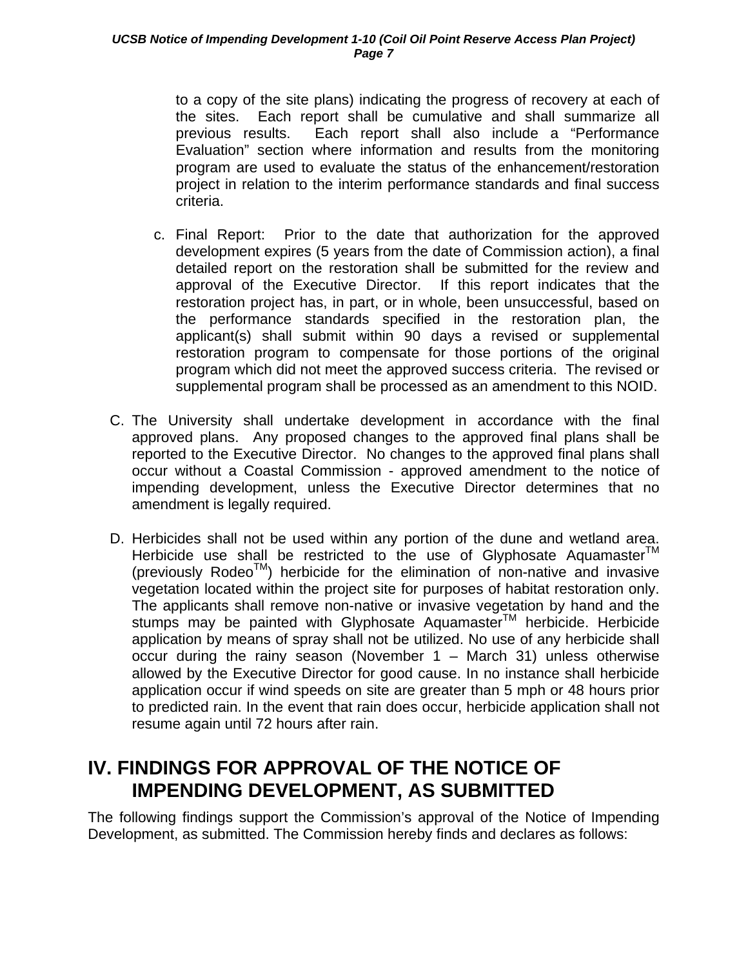<span id="page-9-0"></span>to a copy of the site plans) indicating the progress of recovery at each of the sites. Each report shall be cumulative and shall summarize all previous results. Each report shall also include a "Performance Evaluation" section where information and results from the monitoring program are used to evaluate the status of the enhancement/restoration project in relation to the interim performance standards and final success criteria.

- c. Final Report: Prior to the date that authorization for the approved development expires (5 years from the date of Commission action), a final detailed report on the restoration shall be submitted for the review and approval of the Executive Director. If this report indicates that the restoration project has, in part, or in whole, been unsuccessful, based on the performance standards specified in the restoration plan, the applicant(s) shall submit within 90 days a revised or supplemental restoration program to compensate for those portions of the original program which did not meet the approved success criteria. The revised or supplemental program shall be processed as an amendment to this NOID.
- C. The University shall undertake development in accordance with the final approved plans. Any proposed changes to the approved final plans shall be reported to the Executive Director. No changes to the approved final plans shall occur without a Coastal Commission - approved amendment to the notice of impending development, unless the Executive Director determines that no amendment is legally required.
- D. Herbicides shall not be used within any portion of the dune and wetland area. Herbicide use shall be restricted to the use of Glyphosate Aquamaster<sup>™</sup> (previously RodeoTM) herbicide for the elimination of non-native and invasive vegetation located within the project site for purposes of habitat restoration only. The applicants shall remove non-native or invasive vegetation by hand and the stumps may be painted with Glyphosate Aquamaster<sup>™</sup> herbicide. Herbicide application by means of spray shall not be utilized. No use of any herbicide shall occur during the rainy season (November 1 – March 31) unless otherwise allowed by the Executive Director for good cause. In no instance shall herbicide application occur if wind speeds on site are greater than 5 mph or 48 hours prior to predicted rain. In the event that rain does occur, herbicide application shall not resume again until 72 hours after rain.

# **IV. FINDINGS FOR APPROVAL OF THE NOTICE OF IMPENDING DEVELOPMENT, AS SUBMITTED**

The following findings support the Commission's approval of the Notice of Impending Development, as submitted. The Commission hereby finds and declares as follows: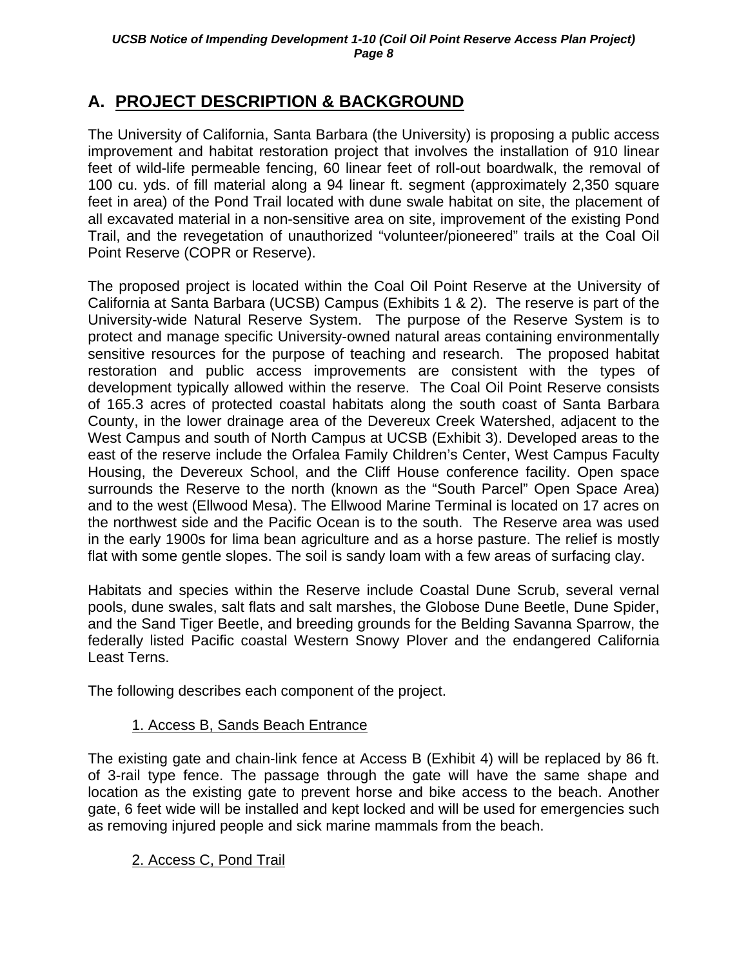## <span id="page-10-0"></span>**A. PROJECT DESCRIPTION & BACKGROUND**

The University of California, Santa Barbara (the University) is proposing a public access improvement and habitat restoration project that involves the installation of 910 linear feet of wild-life permeable fencing, 60 linear feet of roll-out boardwalk, the removal of 100 cu. yds. of fill material along a 94 linear ft. segment (approximately 2,350 square feet in area) of the Pond Trail located with dune swale habitat on site, the placement of all excavated material in a non-sensitive area on site, improvement of the existing Pond Trail, and the revegetation of unauthorized "volunteer/pioneered" trails at the Coal Oil Point Reserve (COPR or Reserve).

The proposed project is located within the Coal Oil Point Reserve at the University of California at Santa Barbara (UCSB) Campus (Exhibits 1 & 2). The reserve is part of the University-wide Natural Reserve System. The purpose of the Reserve System is to protect and manage specific University-owned natural areas containing environmentally sensitive resources for the purpose of teaching and research. The proposed habitat restoration and public access improvements are consistent with the types of development typically allowed within the reserve. The Coal Oil Point Reserve consists of 165.3 acres of protected coastal habitats along the south coast of Santa Barbara County, in the lower drainage area of the Devereux Creek Watershed, adjacent to the West Campus and south of North Campus at UCSB (Exhibit 3). Developed areas to the east of the reserve include the Orfalea Family Children's Center, West Campus Faculty Housing, the Devereux School, and the Cliff House conference facility. Open space surrounds the Reserve to the north (known as the "South Parcel" Open Space Area) and to the west (Ellwood Mesa). The Ellwood Marine Terminal is located on 17 acres on the northwest side and the Pacific Ocean is to the south. The Reserve area was used in the early 1900s for lima bean agriculture and as a horse pasture. The relief is mostly flat with some gentle slopes. The soil is sandy loam with a few areas of surfacing clay.

Habitats and species within the Reserve include Coastal Dune Scrub, several vernal pools, dune swales, salt flats and salt marshes, the Globose Dune Beetle, Dune Spider, and the Sand Tiger Beetle, and breeding grounds for the Belding Savanna Sparrow, the federally listed Pacific coastal Western Snowy Plover and the endangered California Least Terns.

The following describes each component of the project.

### 1. Access B, Sands Beach Entrance

The existing gate and chain-link fence at Access B (Exhibit 4) will be replaced by 86 ft. of 3-rail type fence. The passage through the gate will have the same shape and location as the existing gate to prevent horse and bike access to the beach. Another gate, 6 feet wide will be installed and kept locked and will be used for emergencies such as removing injured people and sick marine mammals from the beach.

### 2. Access C, Pond Trail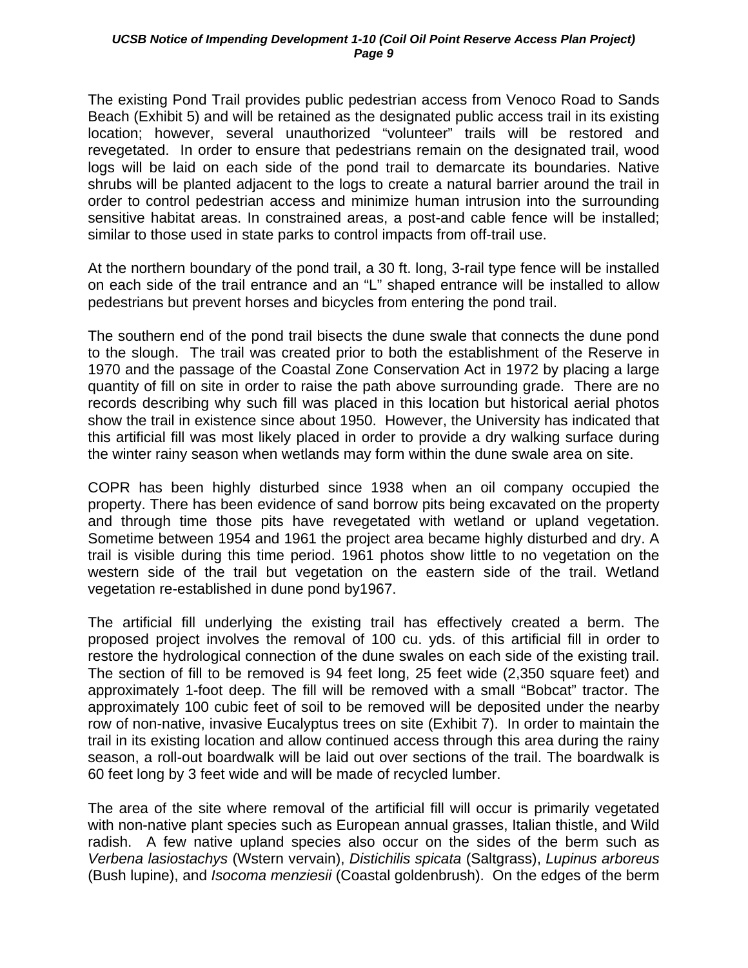The existing Pond Trail provides public pedestrian access from Venoco Road to Sands Beach (Exhibit 5) and will be retained as the designated public access trail in its existing location; however, several unauthorized "volunteer" trails will be restored and revegetated. In order to ensure that pedestrians remain on the designated trail, wood logs will be laid on each side of the pond trail to demarcate its boundaries. Native shrubs will be planted adjacent to the logs to create a natural barrier around the trail in order to control pedestrian access and minimize human intrusion into the surrounding sensitive habitat areas. In constrained areas, a post-and cable fence will be installed; similar to those used in state parks to control impacts from off-trail use.

At the northern boundary of the pond trail, a 30 ft. long, 3-rail type fence will be installed on each side of the trail entrance and an "L" shaped entrance will be installed to allow pedestrians but prevent horses and bicycles from entering the pond trail.

The southern end of the pond trail bisects the dune swale that connects the dune pond to the slough. The trail was created prior to both the establishment of the Reserve in 1970 and the passage of the Coastal Zone Conservation Act in 1972 by placing a large quantity of fill on site in order to raise the path above surrounding grade. There are no records describing why such fill was placed in this location but historical aerial photos show the trail in existence since about 1950. However, the University has indicated that this artificial fill was most likely placed in order to provide a dry walking surface during the winter rainy season when wetlands may form within the dune swale area on site.

COPR has been highly disturbed since 1938 when an oil company occupied the property. There has been evidence of sand borrow pits being excavated on the property and through time those pits have revegetated with wetland or upland vegetation. Sometime between 1954 and 1961 the project area became highly disturbed and dry. A trail is visible during this time period. 1961 photos show little to no vegetation on the western side of the trail but vegetation on the eastern side of the trail. Wetland vegetation re-established in dune pond by1967.

The artificial fill underlying the existing trail has effectively created a berm. The proposed project involves the removal of 100 cu. yds. of this artificial fill in order to restore the hydrological connection of the dune swales on each side of the existing trail. The section of fill to be removed is 94 feet long, 25 feet wide (2,350 square feet) and approximately 1-foot deep. The fill will be removed with a small "Bobcat" tractor. The approximately 100 cubic feet of soil to be removed will be deposited under the nearby row of non-native, invasive Eucalyptus trees on site (Exhibit 7). In order to maintain the trail in its existing location and allow continued access through this area during the rainy season, a roll-out boardwalk will be laid out over sections of the trail. The boardwalk is 60 feet long by 3 feet wide and will be made of recycled lumber.

The area of the site where removal of the artificial fill will occur is primarily vegetated with non-native plant species such as European annual grasses, Italian thistle, and Wild radish. A few native upland species also occur on the sides of the berm such as *Verbena lasiostachys* (Wstern vervain), *Distichilis spicata* (Saltgrass), *Lupinus arboreus* (Bush lupine), and *Isocoma menziesii* (Coastal goldenbrush). On the edges of the berm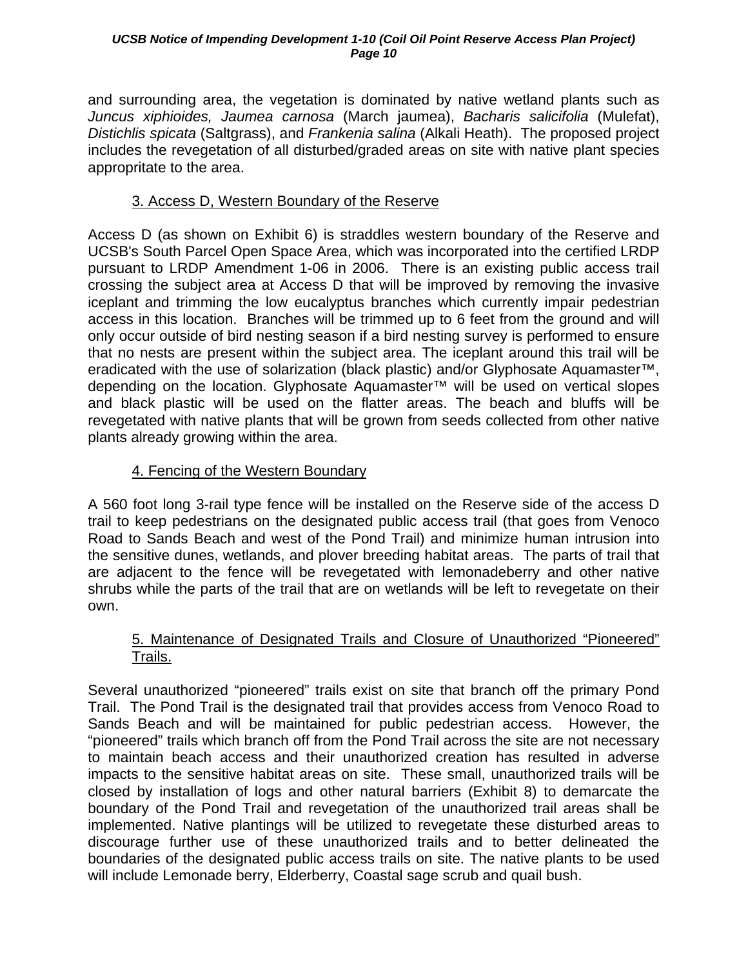and surrounding area, the vegetation is dominated by native wetland plants such as *Juncus xiphioides, Jaumea carnosa* (March jaumea), *Bacharis salicifolia* (Mulefat), *Distichlis spicata* (Saltgrass), and *Frankenia salina* (Alkali Heath). The proposed project includes the revegetation of all disturbed/graded areas on site with native plant species appropritate to the area.

## 3. Access D, Western Boundary of the Reserve

Access D (as shown on Exhibit 6) is straddles western boundary of the Reserve and UCSB's South Parcel Open Space Area, which was incorporated into the certified LRDP pursuant to LRDP Amendment 1-06 in 2006. There is an existing public access trail crossing the subject area at Access D that will be improved by removing the invasive iceplant and trimming the low eucalyptus branches which currently impair pedestrian access in this location. Branches will be trimmed up to 6 feet from the ground and will only occur outside of bird nesting season if a bird nesting survey is performed to ensure that no nests are present within the subject area. The iceplant around this trail will be eradicated with the use of solarization (black plastic) and/or Glyphosate Aquamaster™, depending on the location. Glyphosate Aquamaster™ will be used on vertical slopes and black plastic will be used on the flatter areas. The beach and bluffs will be revegetated with native plants that will be grown from seeds collected from other native plants already growing within the area.

### 4. Fencing of the Western Boundary

A 560 foot long 3-rail type fence will be installed on the Reserve side of the access D trail to keep pedestrians on the designated public access trail (that goes from Venoco Road to Sands Beach and west of the Pond Trail) and minimize human intrusion into the sensitive dunes, wetlands, and plover breeding habitat areas. The parts of trail that are adjacent to the fence will be revegetated with lemonadeberry and other native shrubs while the parts of the trail that are on wetlands will be left to revegetate on their own.

### 5. Maintenance of Designated Trails and Closure of Unauthorized "Pioneered" Trails.

Several unauthorized "pioneered" trails exist on site that branch off the primary Pond Trail. The Pond Trail is the designated trail that provides access from Venoco Road to Sands Beach and will be maintained for public pedestrian access. However, the "pioneered" trails which branch off from the Pond Trail across the site are not necessary to maintain beach access and their unauthorized creation has resulted in adverse impacts to the sensitive habitat areas on site. These small, unauthorized trails will be closed by installation of logs and other natural barriers (Exhibit 8) to demarcate the boundary of the Pond Trail and revegetation of the unauthorized trail areas shall be implemented. Native plantings will be utilized to revegetate these disturbed areas to discourage further use of these unauthorized trails and to better delineated the boundaries of the designated public access trails on site. The native plants to be used will include Lemonade berry, Elderberry, Coastal sage scrub and quail bush.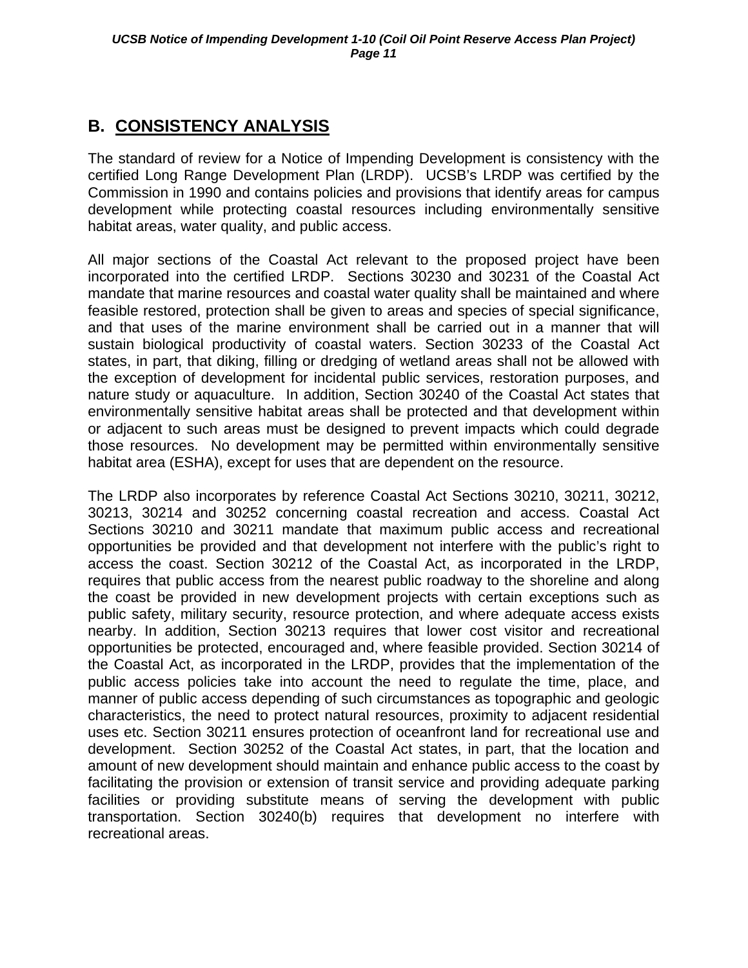## <span id="page-13-0"></span>**B. CONSISTENCY ANALYSIS**

The standard of review for a Notice of Impending Development is consistency with the certified Long Range Development Plan (LRDP). UCSB's LRDP was certified by the Commission in 1990 and contains policies and provisions that identify areas for campus development while protecting coastal resources including environmentally sensitive habitat areas, water quality, and public access.

All major sections of the Coastal Act relevant to the proposed project have been incorporated into the certified LRDP. Sections 30230 and 30231 of the Coastal Act mandate that marine resources and coastal water quality shall be maintained and where feasible restored, protection shall be given to areas and species of special significance, and that uses of the marine environment shall be carried out in a manner that will sustain biological productivity of coastal waters. Section 30233 of the Coastal Act states, in part, that diking, filling or dredging of wetland areas shall not be allowed with the exception of development for incidental public services, restoration purposes, and nature study or aquaculture. In addition, Section 30240 of the Coastal Act states that environmentally sensitive habitat areas shall be protected and that development within or adjacent to such areas must be designed to prevent impacts which could degrade those resources. No development may be permitted within environmentally sensitive habitat area (ESHA), except for uses that are dependent on the resource.

The LRDP also incorporates by reference Coastal Act Sections 30210, 30211, 30212, 30213, 30214 and 30252 concerning coastal recreation and access. Coastal Act Sections 30210 and 30211 mandate that maximum public access and recreational opportunities be provided and that development not interfere with the public's right to access the coast. Section 30212 of the Coastal Act, as incorporated in the LRDP, requires that public access from the nearest public roadway to the shoreline and along the coast be provided in new development projects with certain exceptions such as public safety, military security, resource protection, and where adequate access exists nearby. In addition, Section 30213 requires that lower cost visitor and recreational opportunities be protected, encouraged and, where feasible provided. Section 30214 of the Coastal Act, as incorporated in the LRDP, provides that the implementation of the public access policies take into account the need to regulate the time, place, and manner of public access depending of such circumstances as topographic and geologic characteristics, the need to protect natural resources, proximity to adjacent residential uses etc. Section 30211 ensures protection of oceanfront land for recreational use and development. Section 30252 of the Coastal Act states, in part, that the location and amount of new development should maintain and enhance public access to the coast by facilitating the provision or extension of transit service and providing adequate parking facilities or providing substitute means of serving the development with public transportation. Section 30240(b) requires that development no interfere with recreational areas.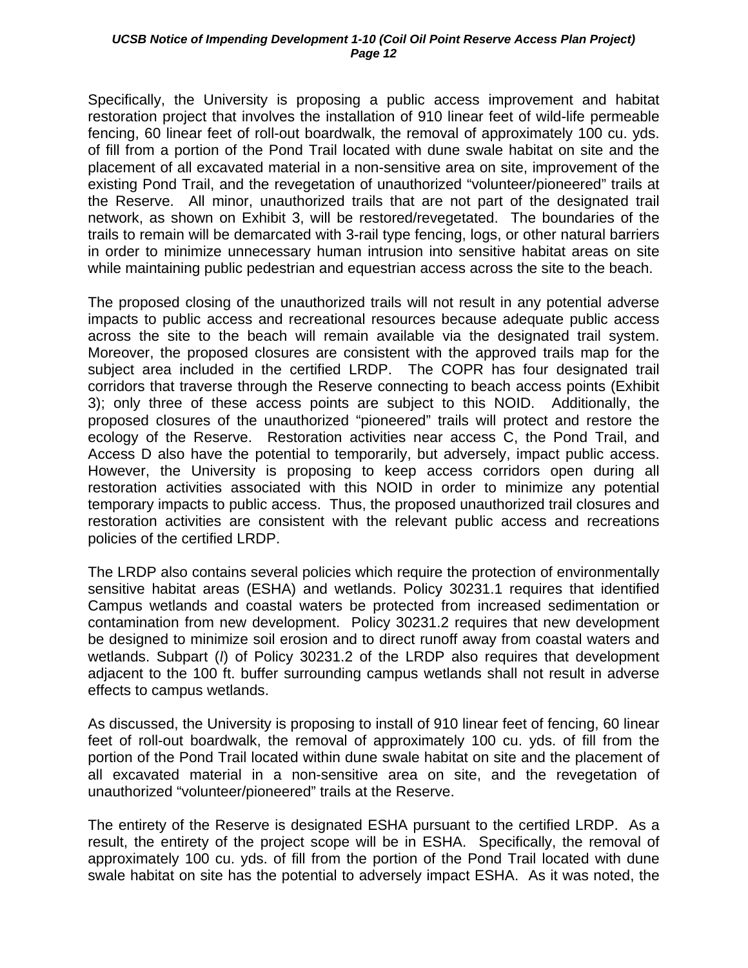Specifically, the University is proposing a public access improvement and habitat restoration project that involves the installation of 910 linear feet of wild-life permeable fencing, 60 linear feet of roll-out boardwalk, the removal of approximately 100 cu. yds. of fill from a portion of the Pond Trail located with dune swale habitat on site and the placement of all excavated material in a non-sensitive area on site, improvement of the existing Pond Trail, and the revegetation of unauthorized "volunteer/pioneered" trails at the Reserve. All minor, unauthorized trails that are not part of the designated trail network, as shown on Exhibit 3, will be restored/revegetated. The boundaries of the trails to remain will be demarcated with 3-rail type fencing, logs, or other natural barriers in order to minimize unnecessary human intrusion into sensitive habitat areas on site while maintaining public pedestrian and equestrian access across the site to the beach.

The proposed closing of the unauthorized trails will not result in any potential adverse impacts to public access and recreational resources because adequate public access across the site to the beach will remain available via the designated trail system. Moreover, the proposed closures are consistent with the approved trails map for the subject area included in the certified LRDP. The COPR has four designated trail corridors that traverse through the Reserve connecting to beach access points (Exhibit 3); only three of these access points are subject to this NOID. Additionally, the proposed closures of the unauthorized "pioneered" trails will protect and restore the ecology of the Reserve. Restoration activities near access C, the Pond Trail, and Access D also have the potential to temporarily, but adversely, impact public access. However, the University is proposing to keep access corridors open during all restoration activities associated with this NOID in order to minimize any potential temporary impacts to public access. Thus, the proposed unauthorized trail closures and restoration activities are consistent with the relevant public access and recreations policies of the certified LRDP.

The LRDP also contains several policies which require the protection of environmentally sensitive habitat areas (ESHA) and wetlands. Policy 30231.1 requires that identified Campus wetlands and coastal waters be protected from increased sedimentation or contamination from new development. Policy 30231.2 requires that new development be designed to minimize soil erosion and to direct runoff away from coastal waters and wetlands. Subpart (*l*) of Policy 30231.2 of the LRDP also requires that development adjacent to the 100 ft. buffer surrounding campus wetlands shall not result in adverse effects to campus wetlands.

As discussed, the University is proposing to install of 910 linear feet of fencing, 60 linear feet of roll-out boardwalk, the removal of approximately 100 cu. yds. of fill from the portion of the Pond Trail located within dune swale habitat on site and the placement of all excavated material in a non-sensitive area on site, and the revegetation of unauthorized "volunteer/pioneered" trails at the Reserve.

The entirety of the Reserve is designated ESHA pursuant to the certified LRDP. As a result, the entirety of the project scope will be in ESHA. Specifically, the removal of approximately 100 cu. yds. of fill from the portion of the Pond Trail located with dune swale habitat on site has the potential to adversely impact ESHA. As it was noted, the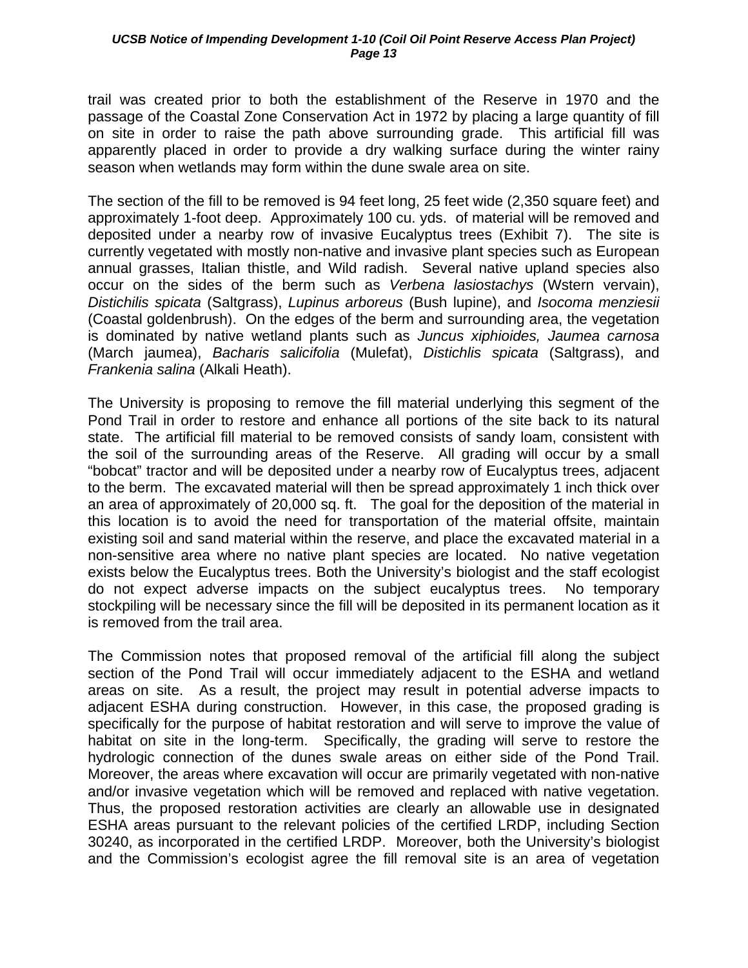trail was created prior to both the establishment of the Reserve in 1970 and the passage of the Coastal Zone Conservation Act in 1972 by placing a large quantity of fill on site in order to raise the path above surrounding grade. This artificial fill was apparently placed in order to provide a dry walking surface during the winter rainy season when wetlands may form within the dune swale area on site.

The section of the fill to be removed is 94 feet long, 25 feet wide (2,350 square feet) and approximately 1-foot deep. Approximately 100 cu. yds. of material will be removed and deposited under a nearby row of invasive Eucalyptus trees (Exhibit 7). The site is currently vegetated with mostly non-native and invasive plant species such as European annual grasses, Italian thistle, and Wild radish. Several native upland species also occur on the sides of the berm such as *Verbena lasiostachys* (Wstern vervain), *Distichilis spicata* (Saltgrass), *Lupinus arboreus* (Bush lupine), and *Isocoma menziesii* (Coastal goldenbrush). On the edges of the berm and surrounding area, the vegetation is dominated by native wetland plants such as *Juncus xiphioides, Jaumea carnosa* (March jaumea), *Bacharis salicifolia* (Mulefat), *Distichlis spicata* (Saltgrass), and *Frankenia salina* (Alkali Heath).

The University is proposing to remove the fill material underlying this segment of the Pond Trail in order to restore and enhance all portions of the site back to its natural state. The artificial fill material to be removed consists of sandy loam, consistent with the soil of the surrounding areas of the Reserve. All grading will occur by a small "bobcat" tractor and will be deposited under a nearby row of Eucalyptus trees, adjacent to the berm. The excavated material will then be spread approximately 1 inch thick over an area of approximately of 20,000 sq. ft. The goal for the deposition of the material in this location is to avoid the need for transportation of the material offsite, maintain existing soil and sand material within the reserve, and place the excavated material in a non-sensitive area where no native plant species are located. No native vegetation exists below the Eucalyptus trees. Both the University's biologist and the staff ecologist do not expect adverse impacts on the subject eucalyptus trees. No temporary stockpiling will be necessary since the fill will be deposited in its permanent location as it is removed from the trail area.

The Commission notes that proposed removal of the artificial fill along the subject section of the Pond Trail will occur immediately adjacent to the ESHA and wetland areas on site. As a result, the project may result in potential adverse impacts to adjacent ESHA during construction. However, in this case, the proposed grading is specifically for the purpose of habitat restoration and will serve to improve the value of habitat on site in the long-term. Specifically, the grading will serve to restore the hydrologic connection of the dunes swale areas on either side of the Pond Trail. Moreover, the areas where excavation will occur are primarily vegetated with non-native and/or invasive vegetation which will be removed and replaced with native vegetation. Thus, the proposed restoration activities are clearly an allowable use in designated ESHA areas pursuant to the relevant policies of the certified LRDP, including Section 30240, as incorporated in the certified LRDP. Moreover, both the University's biologist and the Commission's ecologist agree the fill removal site is an area of vegetation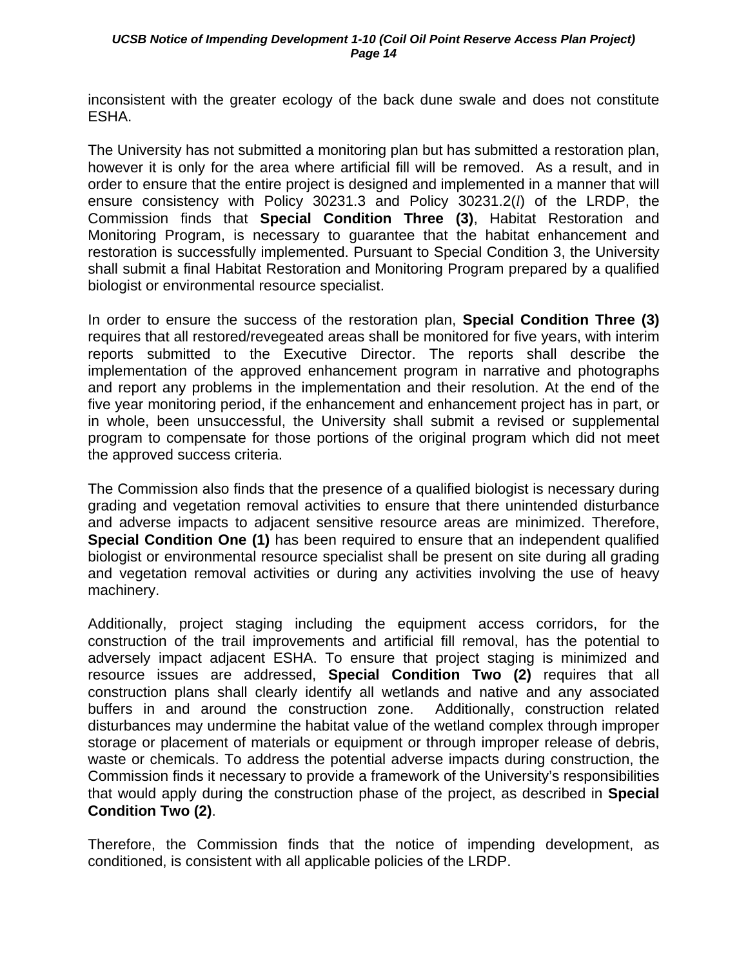inconsistent with the greater ecology of the back dune swale and does not constitute ESHA.

The University has not submitted a monitoring plan but has submitted a restoration plan, however it is only for the area where artificial fill will be removed. As a result, and in order to ensure that the entire project is designed and implemented in a manner that will ensure consistency with Policy 30231.3 and Policy 30231.2(*l*) of the LRDP, the Commission finds that **Special Condition Three (3)**, Habitat Restoration and Monitoring Program, is necessary to guarantee that the habitat enhancement and restoration is successfully implemented. Pursuant to Special Condition 3, the University shall submit a final Habitat Restoration and Monitoring Program prepared by a qualified biologist or environmental resource specialist.

In order to ensure the success of the restoration plan, **Special Condition Three (3)** requires that all restored/revegeated areas shall be monitored for five years, with interim reports submitted to the Executive Director. The reports shall describe the implementation of the approved enhancement program in narrative and photographs and report any problems in the implementation and their resolution. At the end of the five year monitoring period, if the enhancement and enhancement project has in part, or in whole, been unsuccessful, the University shall submit a revised or supplemental program to compensate for those portions of the original program which did not meet the approved success criteria.

The Commission also finds that the presence of a qualified biologist is necessary during grading and vegetation removal activities to ensure that there unintended disturbance and adverse impacts to adjacent sensitive resource areas are minimized. Therefore, **Special Condition One (1)** has been required to ensure that an independent qualified biologist or environmental resource specialist shall be present on site during all grading and vegetation removal activities or during any activities involving the use of heavy machinery.

Additionally, project staging including the equipment access corridors, for the construction of the trail improvements and artificial fill removal, has the potential to adversely impact adjacent ESHA. To ensure that project staging is minimized and resource issues are addressed, **Special Condition Two (2)** requires that all construction plans shall clearly identify all wetlands and native and any associated buffers in and around the construction zone. Additionally, construction related disturbances may undermine the habitat value of the wetland complex through improper storage or placement of materials or equipment or through improper release of debris, waste or chemicals. To address the potential adverse impacts during construction, the Commission finds it necessary to provide a framework of the University's responsibilities that would apply during the construction phase of the project, as described in **Special Condition Two (2)**.

Therefore, the Commission finds that the notice of impending development, as conditioned, is consistent with all applicable policies of the LRDP.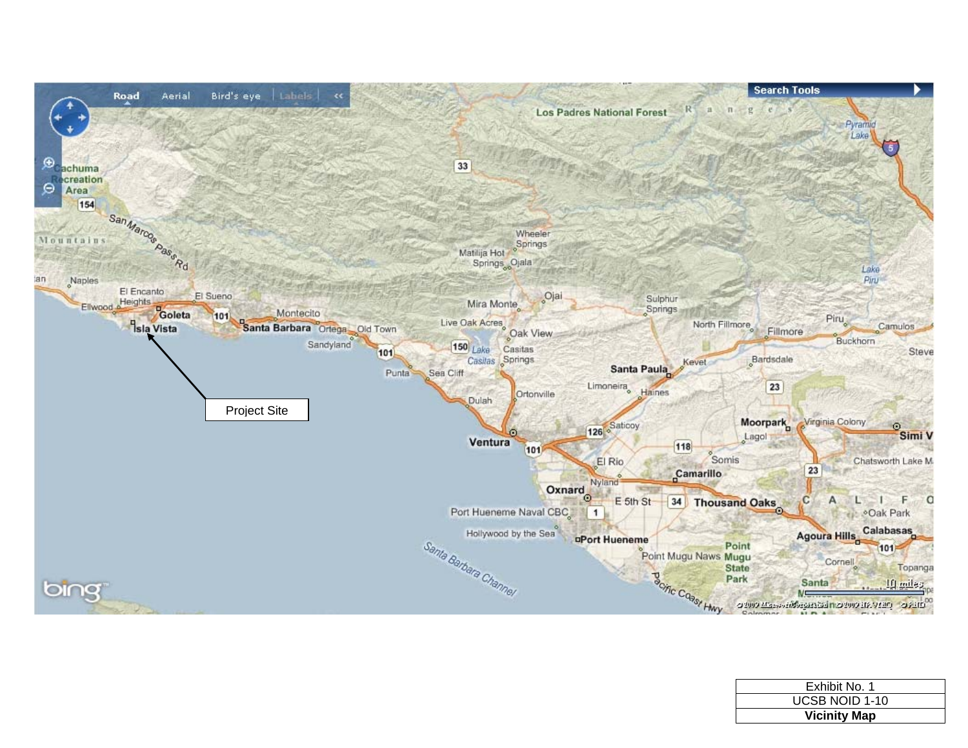

| Exhibit No. 1         |  |
|-----------------------|--|
| <b>UCSB NOID 1-10</b> |  |
| <b>Vicinity Map</b>   |  |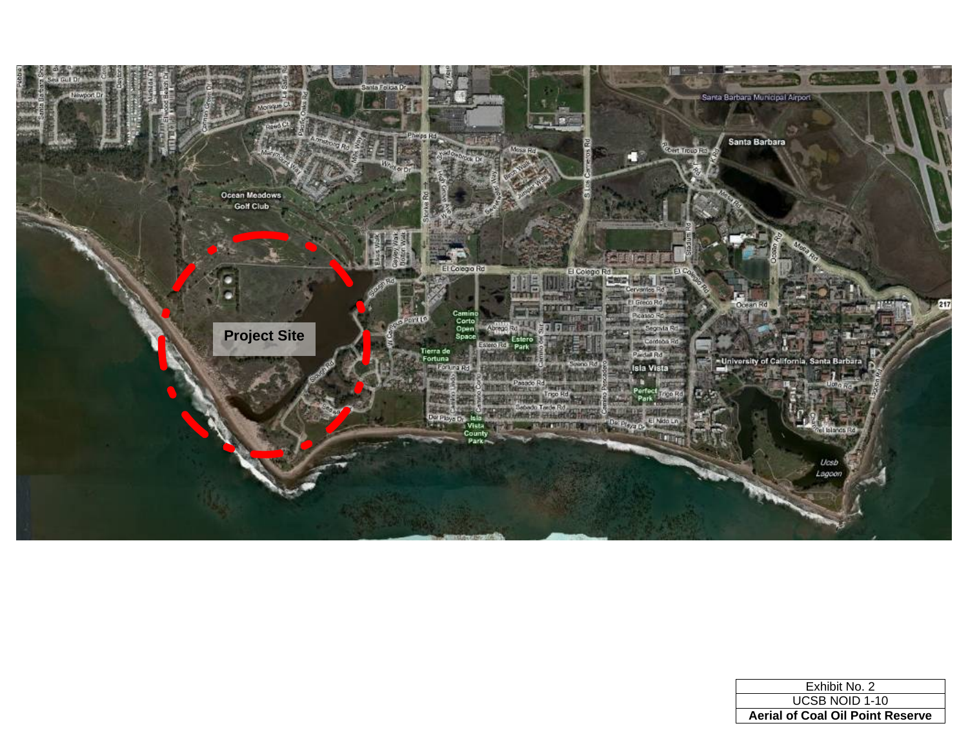

| Exhibit No. 2                           |
|-----------------------------------------|
| <b>UCSB NOID 1-10</b>                   |
| <b>Aerial of Coal Oil Point Reserve</b> |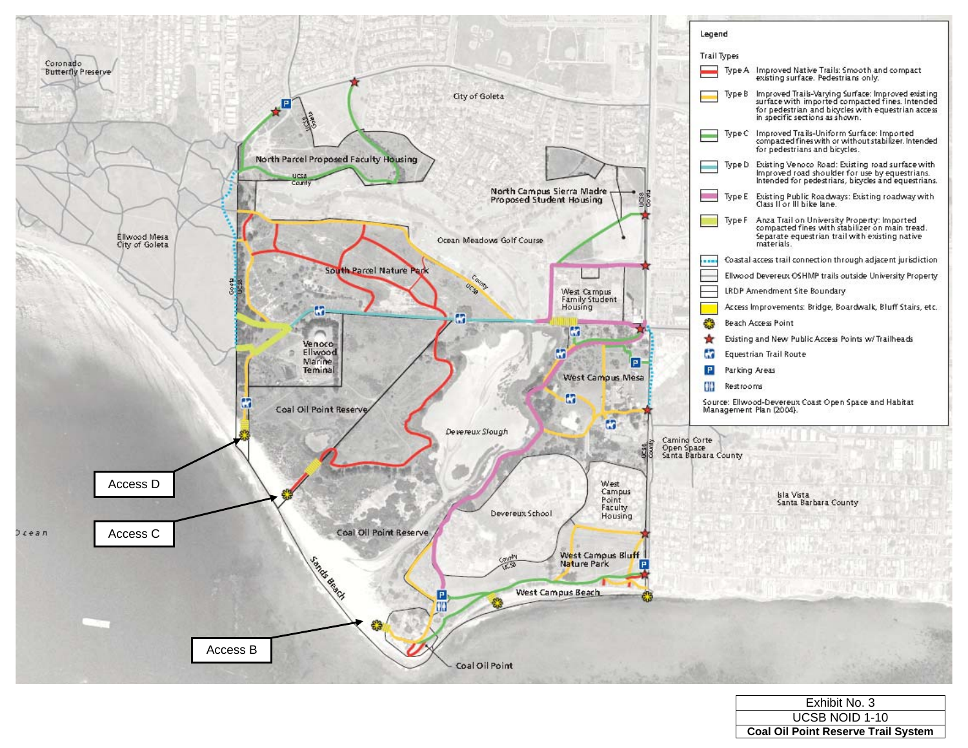

| Exhibit No. 3                              |
|--------------------------------------------|
| <b>UCSB NOID 1-10</b>                      |
| <b>Coal Oil Point Reserve Trail System</b> |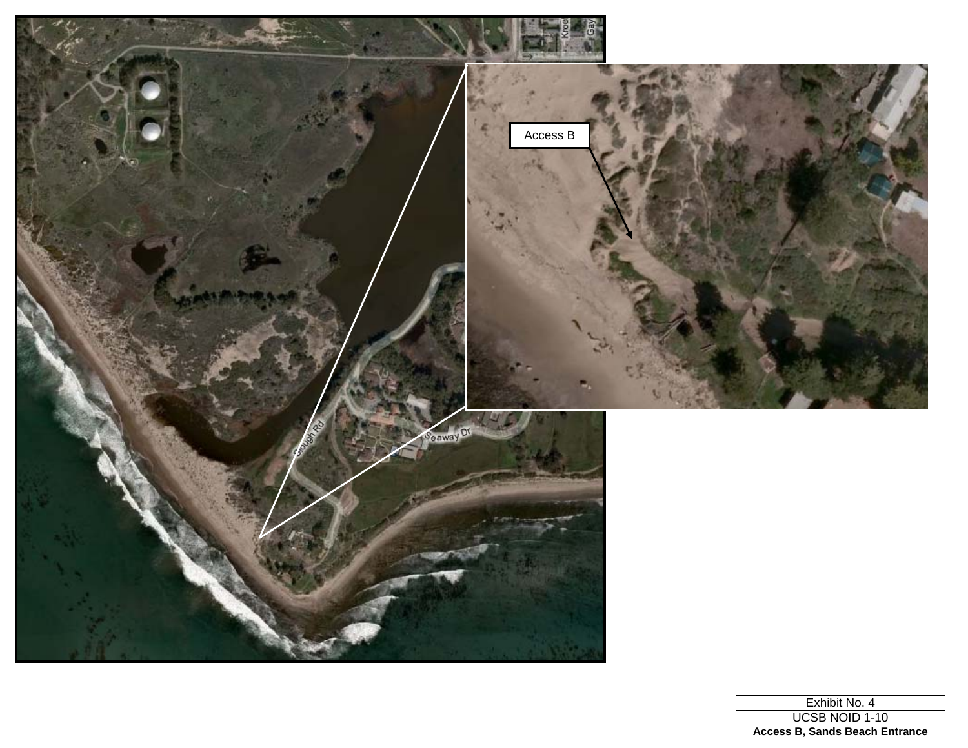

| Exhibit No. 4                         |
|---------------------------------------|
| <b>UCSB NOID 1-10</b>                 |
| <b>Access B. Sands Beach Entrance</b> |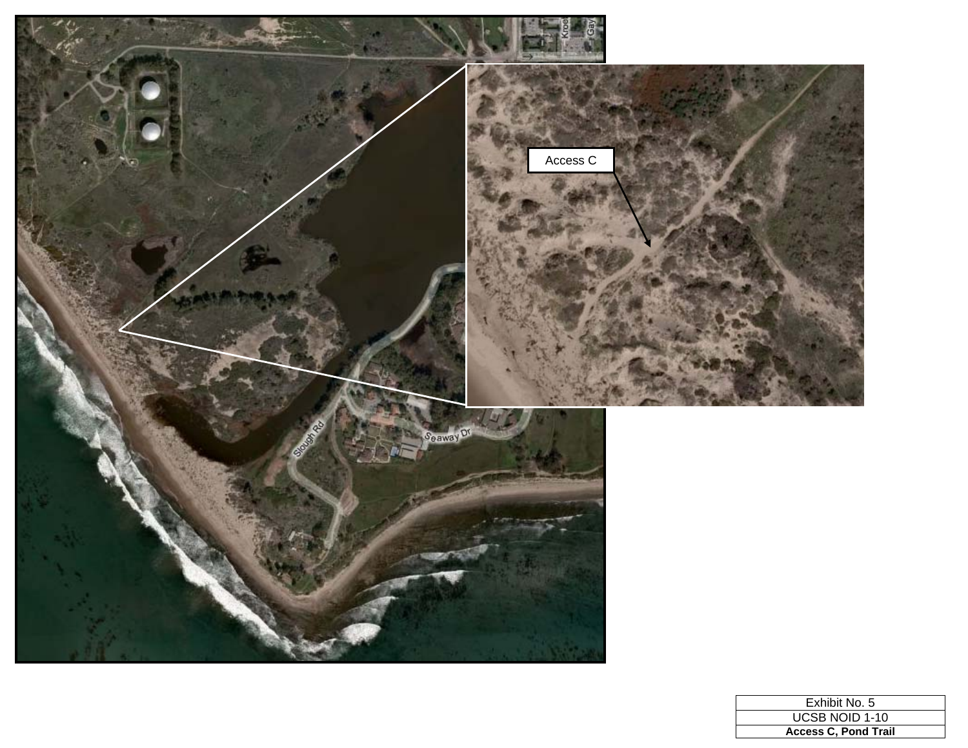

| Exhibit No. 5               |
|-----------------------------|
| <b>UCSB NOID 1-10</b>       |
| <b>Access C. Pond Trail</b> |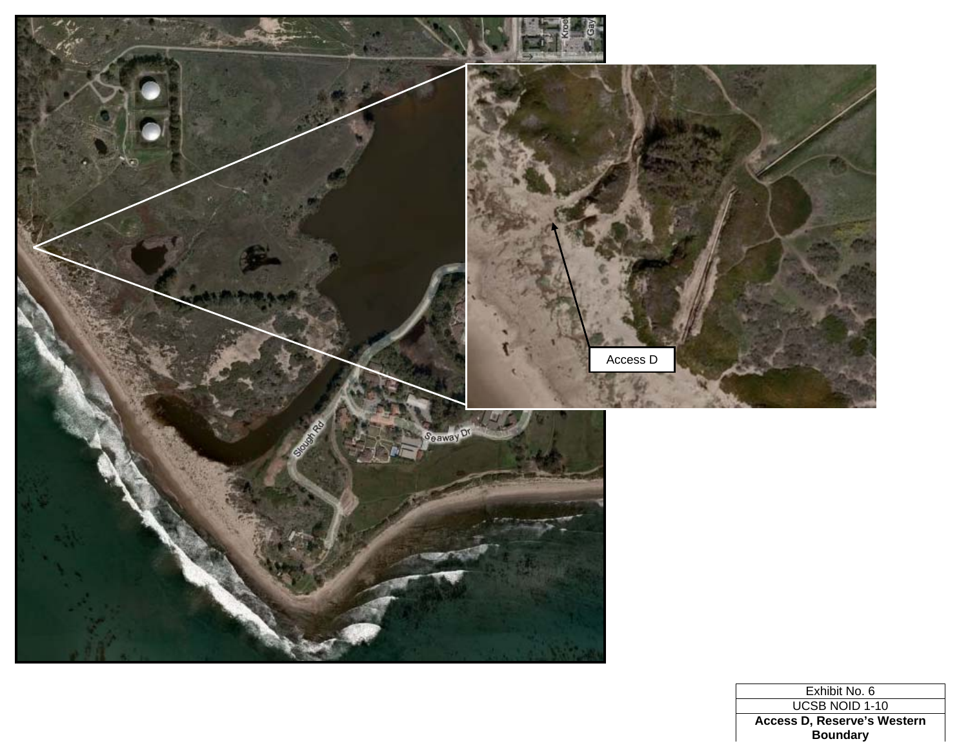

Exhibit No. 6 UCSB NOID 1-10 **Access D, Reserve's Western Boundary**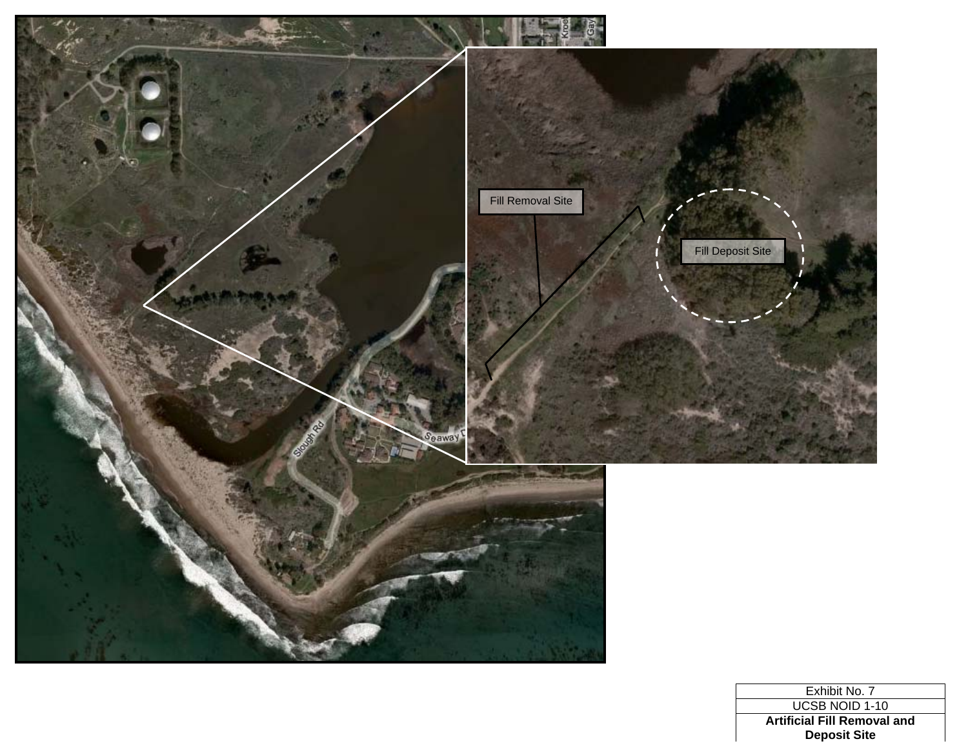

Exhibit No. 7 UCSB NOID 1-10 **Artificial Fill Removal and Deposit Site**